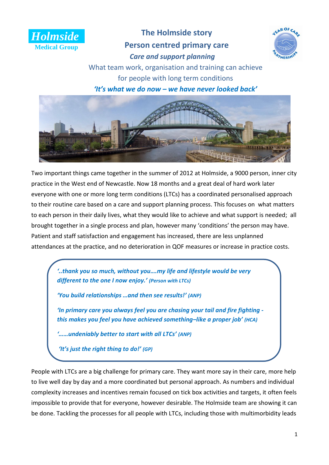

# **The Holmside story Person centred primary care** *Care and support planning*



What team work, organisation and training can achieve for people with long term conditions

*'It's what we do now – we have never looked back'*



Two important things came together in the summer of 2012 at Holmside, a 9000 person, inner city practice in the West end of Newcastle. Now 18 months and a great deal of hard work later everyone with one or more long term conditions (LTCs) has a coordinated personalised approach to their routine care based on a care and support planning process. This focuses on what matters to each person in their daily lives, what they would like to achieve and what support is needed; all brought together in a single process and plan, however many 'conditions' the person may have. Patient and staff satisfaction and engagement has increased, there are less unplanned attendances at the practice, and no deterioration in QOF measures or increase in practice costs.

*'..thank you so much, without you….my life and lifestyle would be very different to the one I now enjoy.' (Person with LTCs)*

*'You build relationships …and then see results!' (ANP)*

*'In primary care you always feel you are chasing your tail and fire fighting this makes you feel you have achieved something–like a proper job' (HCA)*

*'……undeniably better to start with all LTCs' (ANP)*

*'It's just the right thing to do!' (GP)*

People with LTCs are a big challenge for primary care. They want more say in their care, more help to live well day by day and a more coordinated but personal approach. As numbers and individual complexity increases and incentives remain focused on tick box activities and targets, it often feels impossible to provide that for everyone, however desirable. The Holmside team are showing it can be done. Tackling the processes for all people with LTCs, including those with multimorbidity leads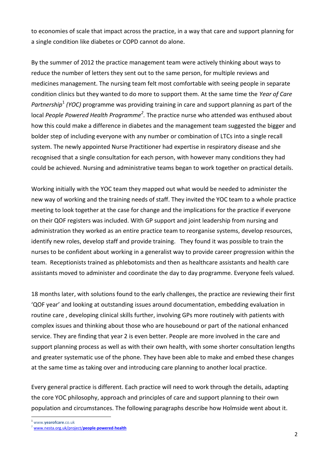to economies of scale that impact across the practice, in a way that care and support planning for a single condition like diabetes or COPD cannot do alone.

By the summer of 2012 the practice management team were actively thinking about ways to reduce the number of letters they sent out to the same person, for multiple reviews and medicines management. The nursing team felt most comfortable with seeing people in separate condition clinics but they wanted to do more to support them. At the same time the *Year of Care*  Partnership<sup>1</sup> (YOC) programme was providing training in care and support planning as part of the local *People Powered Health Programme<sup>2</sup>*. The practice nurse who attended was enthused about how this could make a difference in diabetes and the management team suggested the bigger and bolder step of including everyone with any number or combination of LTCs into a single recall system. The newly appointed Nurse Practitioner had expertise in respiratory disease and she recognised that a single consultation for each person, with however many conditions they had could be achieved. Nursing and administrative teams began to work together on practical details.

Working initially with the YOC team they mapped out what would be needed to administer the new way of working and the training needs of staff. They invited the YOC team to a whole practice meeting to look together at the case for change and the implications for the practice if everyone on their QOF registers was included. With GP support and joint leadership from nursing and administration they worked as an entire practice team to reorganise systems, develop resources, identify new roles, develop staff and provide training. They found it was possible to train the nurses to be confident about working in a generalist way to provide career progression within the team. Receptionists trained as phlebotomists and then as healthcare assistants and health care assistants moved to administer and coordinate the day to day programme. Everyone feels valued.

18 months later, with solutions found to the early challenges, the practice are reviewing their first 'QOF year' and looking at outstanding issues around documentation, embedding evaluation in routine care , developing clinical skills further, involving GPs more routinely with patients with complex issues and thinking about those who are housebound or part of the national enhanced service. They are finding that year 2 is even better. People are more involved in the care and support planning process as well as with their own health, with some shorter consultation lengths and greater systematic use of the phone. They have been able to make and embed these changes at the same time as taking over and introducing care planning to another local practice.

Every general practice is different. Each practice will need to work through the details, adapting the core YOC philosophy, approach and principles of care and support planning to their own population and circumstances. The following paragraphs describe how Holmside went about it.

<sup>1</sup> www.**yearofcare**.co.uk

1

<sup>2</sup> [www.nesta.org.uk/project/](http://www.nesta.org.uk/project/people-powered-health)**people**-**powered**-**health**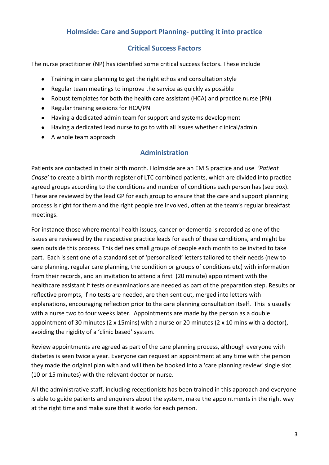## **Holmside: Care and Support Planning- putting it into practice**

### **Critical Success Factors**

The nurse practitioner (NP) has identified some critical success factors. These include

- Training in care planning to get the right ethos and consultation style  $\bullet$
- Regular team meetings to improve the service as quickly as possible
- Robust templates for both the health care assistant (HCA) and practice nurse (PN)
- Regular training sessions for HCA/PN
- Having a dedicated admin team for support and systems development
- Having a dedicated lead nurse to go to with all issues whether clinical/admin.
- A whole team approach

## **Administration**

Patients are contacted in their birth month. Holmside are an EMIS practice and use *'Patient Chase'* to create a birth month register of LTC combined patients, which are divided into practice agreed groups according to the conditions and number of conditions each person has (see box). These are reviewed by the lead GP for each group to ensure that the care and support planning process is right for them and the right people are involved, often at the team's regular breakfast meetings.

For instance those where mental health issues, cancer or dementia is recorded as one of the issues are reviewed by the respective practice leads for each of these conditions, and might be seen outside this process. This defines small groups of people each month to be invited to take part. Each is sent one of a standard set of 'personalised' letters tailored to their needs (new to care planning, regular care planning, the condition or groups of conditions etc) with information from their records, and an invitation to attend a first (20 minute) appointment with the healthcare assistant if tests or examinations are needed as part of the preparation step. Results or reflective prompts, if no tests are needed, are then sent out, merged into letters with explanations, encouraging reflection prior to the care planning consultation itself. This is usually with a nurse two to four weeks later. Appointments are made by the person as a double appointment of 30 minutes (2 x 15mins) with a nurse or 20 minutes (2 x 10 mins with a doctor), avoiding the rigidity of a 'clinic based' system.

Review appointments are agreed as part of the care planning process, although everyone with diabetes is seen twice a year. Everyone can request an appointment at any time with the person they made the original plan with and will then be booked into a 'care planning review' single slot (10 or 15 minutes) with the relevant doctor or nurse.

All the administrative staff, including receptionists has been trained in this approach and everyone is able to guide patients and enquirers about the system, make the appointments in the right way at the right time and make sure that it works for each person.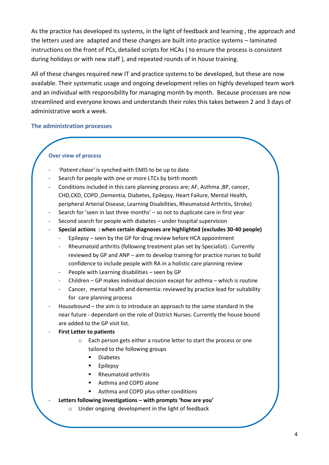As the practice has developed its systems, in the light of feedback and learning , the approach and the letters used are adapted and these changes are built into practice systems – laminated instructions on the front of PCs, detailed scripts for HCAs ( to ensure the process is consistent during holidays or with new staff ), and repeated rounds of in house training.

All of these changes required new IT and practice systems to be developed, but these are now available. Their systematic usage and ongoing development relies on highly developed team work and an individual with responsibility for managing month by month. Because processes are now streamlined and everyone knows and understands their roles this takes between 2 and 3 days of administrative work a week.

#### **The administration processes**

#### **Over view of process**

- *'Patient chase'* is synched with EMIS to be up to date
- Search for people with one or more LTCs by birth month
- Conditions included in this care planning process are; AF, Asthma ,BP, cancer, CHD,CKD, COPD ,Dementia, Diabetes, Epilepsy, Heart Failure, Mental Health, peripheral Arterial Disease, Learning Disabilities, Rheumatoid Arthritis, Stroke)
- Search for 'seen in last three months' so not to duplicate care in first year
- Second search for people with diabetes under hospital supervision
- **Special actions : when certain diagnoses are highlighted (excludes 30-40 people)** 
	- Epilepsy seen by the GP for drug review before HCA appointment
	- Rheumatoid arthritis (following treatment plan set by Specialist) : Currently reviewed by GP and ANP – aim to develop training for practice nurses to build confidence to include people with RA in a holistic care planning review
	- People with Learning disabilities seen by GP
	- Children GP makes individual decision except for asthma which is routine
	- Cancer, mental health and dementia: reviewed by practice lead for suitability for care planning process
- Housebound the aim is to introduce an approach to the same standard in the near future - dependant on the role of District Nurses. Currently the house bound are added to the GP visit list.
- **First Letter to patients** 
	- o Each person gets either a routine letter to start the process or one tailored to the following groups
		- **Diabetes**
		- **Epilepsy**
		- Rheumatoid arthritis
		- Asthma and COPD alone
		- **Asthma and COPD plus other conditions**
- **Letters following investigations – with prompts 'how are you'**
	- o Under ongoing development in the light of feedback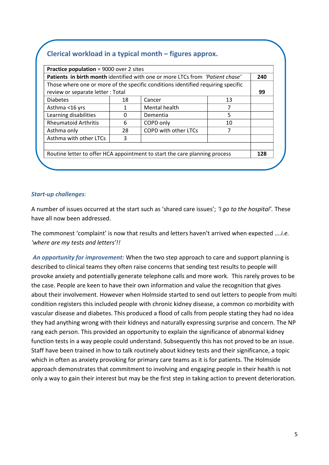## **Clerical workload in a typical month – figures approx.**

| Patients in birth month identified with one or more LTCs from 'Patient chase' |    |                                                                                  |    | 240 |
|-------------------------------------------------------------------------------|----|----------------------------------------------------------------------------------|----|-----|
|                                                                               |    | Those where one or more of the specific conditions identified requiring specific |    |     |
| review or separate letter : Total                                             |    |                                                                                  |    | 99  |
| <b>Diabetes</b>                                                               | 18 | Cancer                                                                           | 13 |     |
| Asthma <16 yrs                                                                |    | Mental health                                                                    | 7  |     |
| Learning disabilities                                                         | 0  | Dementia                                                                         | 5  |     |
| <b>Rheumatoid Arthritis</b>                                                   | 6  | COPD only                                                                        | 10 |     |
| Asthma only                                                                   | 28 | COPD with other LTCs                                                             | 7  |     |
| Asthma with other LTCs                                                        | 3  |                                                                                  |    |     |
|                                                                               |    |                                                                                  |    |     |
| Routine letter to offer HCA appointment to start the care planning process    |    |                                                                                  |    | 128 |

#### *Start-up challenges:*

A number of issues occurred at the start such as 'shared care issues'; *'I go to the hospital'.* These have all now been addressed.

The commonest 'complaint' is now that results and letters haven't arrived when expected *….i.e. 'where are my tests and letters'!!*

*An opportunity for improvement:* When the two step approach to care and support planning is described to clinical teams they often raise concerns that sending test results to people will provoke anxiety and potentially generate telephone calls and more work. This rarely proves to be the case. People are keen to have their own information and value the recognition that gives about their involvement. However when Holmside started to send out letters to people from multi condition registers this included people with chronic kidney disease, a common co morbidity with vascular disease and diabetes. This produced a flood of calls from people stating they had no idea they had anything wrong with their kidneys and naturally expressing surprise and concern. The NP rang each person. This provided an opportunity to explain the significance of abnormal kidney function tests in a way people could understand. Subsequently this has not proved to be an issue. Staff have been trained in how to talk routinely about kidney tests and their significance, a topic which in often as anxiety provoking for primary care teams as it is for patients. The Holmside approach demonstrates that commitment to involving and engaging people in their health is not only a way to gain their interest but may be the first step in taking action to prevent deterioration.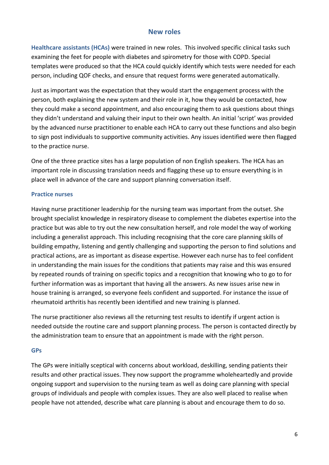### **New roles**

**Healthcare assistants (HCAs)** were trained in new roles. This involved specific clinical tasks such examining the feet for people with diabetes and spirometry for those with COPD. Special templates were produced so that the HCA could quickly identify which tests were needed for each person, including QOF checks, and ensure that request forms were generated automatically.

Just as important was the expectation that they would start the engagement process with the person, both explaining the new system and their role in it, how they would be contacted, how they could make a second appointment, and also encouraging them to ask questions about things they didn't understand and valuing their input to their own health. An initial 'script' was provided by the advanced nurse practitioner to enable each HCA to carry out these functions and also begin to sign post individuals to supportive community activities. Any issues identified were then flagged to the practice nurse.

One of the three practice sites has a large population of non English speakers. The HCA has an important role in discussing translation needs and flagging these up to ensure everything is in place well in advance of the care and support planning conversation itself.

#### **Practice nurses**

Having nurse practitioner leadership for the nursing team was important from the outset. She brought specialist knowledge in respiratory disease to complement the diabetes expertise into the practice but was able to try out the new consultation herself, and role model the way of working including a generalist approach. This including recognising that the core care planning skills of building empathy, listening and gently challenging and supporting the person to find solutions and practical actions, are as important as disease expertise. However each nurse has to feel confident in understanding the main issues for the conditions that patients may raise and this was ensured by repeated rounds of training on specific topics and a recognition that knowing who to go to for further information was as important that having all the answers. As new issues arise new in house training is arranged, so everyone feels confident and supported. For instance the issue of rheumatoid arthritis has recently been identified and new training is planned.

The nurse practitioner also reviews all the returning test results to identify if urgent action is needed outside the routine care and support planning process. The person is contacted directly by the administration team to ensure that an appointment is made with the right person.

#### **GPs**

The GPs were initially sceptical with concerns about workload, deskilling, sending patients their results and other practical issues. They now support the programme wholeheartedly and provide ongoing support and supervision to the nursing team as well as doing care planning with special groups of individuals and people with complex issues. They are also well placed to realise when people have not attended, describe what care planning is about and encourage them to do so.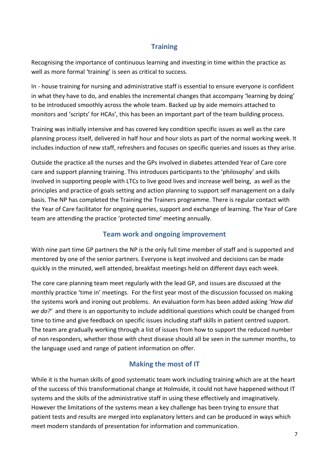## **Training**

Recognising the importance of continuous learning and investing in time within the practice as well as more formal 'training' is seen as critical to success.

In - house training for nursing and administrative staff is essential to ensure everyone is confident in what they have to do, and enables the incremental changes that accompany 'learning by doing' to be introduced smoothly across the whole team. Backed up by aide memoirs attached to monitors and 'scripts' for HCAs', this has been an important part of the team building process.

Training was initially intensive and has covered key condition specific issues as well as the care planning process itself, delivered in half hour and hour slots as part of the normal working week. It includes induction of new staff, refreshers and focuses on specific queries and issues as they arise.

Outside the practice all the nurses and the GPs involved in diabetes attended Year of Care core care and support planning training. This introduces participants to the 'philosophy' and skills involved in supporting people with LTCs to live good lives and increase well being, as well as the principles and practice of goals setting and action planning to support self management on a daily basis. The NP has completed the Training the Trainers programme. There is regular contact with the Year of Care facilitator for ongoing queries, support and exchange of learning. The Year of Care team are attending the practice 'protected time' meeting annually.

## **Team work and ongoing improvement**

With nine part time GP partners the NP is the only full time member of staff and is supported and mentored by one of the senior partners. Everyone is kept involved and decisions can be made quickly in the minuted, well attended, breakfast meetings held on different days each week.

The core care planning team meet regularly with the lead GP, and issues are discussed at the monthly practice 'time in' meetings. For the first year most of the discussion focussed on making the systems work and ironing out problems. An evaluation form has been added asking *'How did we do?'* and there is an opportunity to include additional questions which could be changed from time to time and give feedback on specific issues including staff skills in patient centred support. The team are gradually working through a list of issues from how to support the reduced number of non responders, whether those with chest disease should all be seen in the summer months, to the language used and range of patient information on offer.

## **Making the most of IT**

While it is the human skills of good systematic team work including training which are at the heart of the success of this transformational change at Holmside, it could not have happened without IT systems and the skills of the administrative staff in using these effectively and imaginatively. However the limitations of the systems mean a key challenge has been trying to ensure that patient tests and results are merged into explanatory letters and can be produced in ways which meet modern standards of presentation for information and communication.